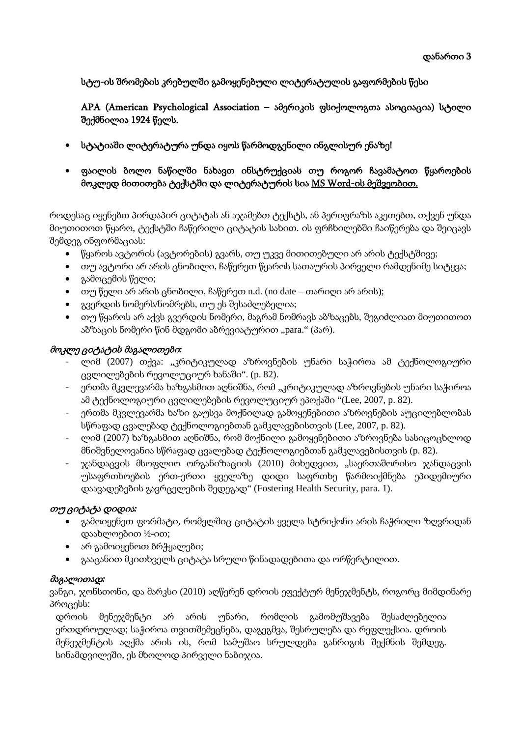სტუ-ის შრომების კრებულში გამოყენებული ლიტერატულის გაფორმების წესი

APA (American Psychological Association – ამერიკის ფსიქოლოგთა ასოციაცია) სტილი შექმნილია 1924 წელს.

- სტატიაში ლიტერატურა უნდა იყოს წარმოდგენილი ინგლისურ ენაზე!
- ფაილის ბოლო ნაწილში ნახავთ ინსტრუქციას თუ როგორ ჩავამატოთ წყაროების მოკლედ მითითება ტექსტში და ლიტერატურის სია MS Word-ის მეშვეობით.

როდესაც იყენებთ პირდაპირ ციტატას ან აჯამებთ ტექსტს, ან პერიფრაზს აკეთებთ, თქვენ უნდა მიუთითოთ წყარო, ტექსტში ჩაწერილი ციტატის სახით. ის ფრჩხილებში ჩაიწერება და შეიცავს შემდეგ ინფორმაციას:

- წყაროს ავტორის (ავტორების) გვარს, თუ უკვე მითითებული არ არის ტექსტშივე;
- თუ ავტორი არ არის ცნობილი, ჩაწერეთ წყაროს სათაურის პირველი რამდენიმე სიტყვა;
- გამოცემის წელი;
- თუ წელი არ არის ცნობილი, ჩაწერეთ n.d. (no date თარიღი არ არის);
- გვერდის ნომერს/ნომრებს, თუ ეს შესაძლებელია;
- თუ წყაროს არ აქვს გვერდის ნომერი, მაგრამ ნომრავს აბზაცებს, შეგიძლიათ მიუთითოთ აბზაცის ნომერი წინ მდგომი აბრევიატურით "para." (პარ).

### მოკლე ციტატის მაგალითები*:*

- ლიმ (2007) თქვა: "კრიტიკულად აზროვნების უნარი საჭიროა ამ ტექნოლოგიური ცვლილებების რევოლუციურ ხანაში". (p. 82).
- ერთმა მკვლევარმა ხაზგასმით აღნიშნა, რომ "კრიტიკულად აზროვნების უნარი საჭიროა ამ ტექნოლოგიური ცვლილებების რევოლუციურ ეპოქაში "(Lee, 2007, p. 82).
- ერთმა მკვლევარმა ხაზი გაუსვა მოქნილად გამოყენებითი აზროვნების აუცილებლობას სწრაფად ცვალებად ტექნოლოგიებთან გამკლავებისთვის (Lee, 2007, p. 82).
- ლიმ (2007) ხაზგასმით აღნიშნა, რომ მოქნილი გამოყენებითი აზროვნება სასიცოცხლოდ მნიშვნელოვანია სწრაფად ცვალებად ტექნოლოგიებთან გამკლავებისთვის (p. 82).
- ჯანდაცვის მსოფლიო ორგანიზაციის (2010) მიხედვით, "საერთაშორისო ჯანდაცვის უსაფრთხოების ერთ-ერთი ყველაზე დიდი საფრთხე წარმოიქმნება ეპიდემიური დაავადებების გავრცელების შედეგად" (Fostering Health Security, para. 1).

### თუ ციტატა დიდია*:*

- გამოიყენეთ ფორმატი, რომელშიც ციტატის ყველა სტრიქონი არის ჩაჭრილი ზღვრიდან დაახლოებით ½-ით;
- არ გამოიყენოთ ბრჭყალები;
- გააცანით მკითხველს ციტატა სრული წინადადებითა და ორწერტილით.

### მაგალითად*:*

ვანგი, ჯონსთონი, და მარკსი (2010) აღწერენ დროის ეფექტურ მენეჯმენტს, როგორც მიმდინარე პროცესს:

დროის მენეჯმენტი არ არის უნარი, რომლის გამომუშავება შესაძლებელია ერთდროულად; საჭიროა თვითშემეცნება, დაგეგმვა, შესრულება და რეფლექსია. დროის მენეჯმენტის აღქმა არის ის, რომ სამუშაო სრულდება განრიგის შექმნის შემდეგ. სინამდვილეში, ეს მხოლოდ პირველი ნაბიჯია.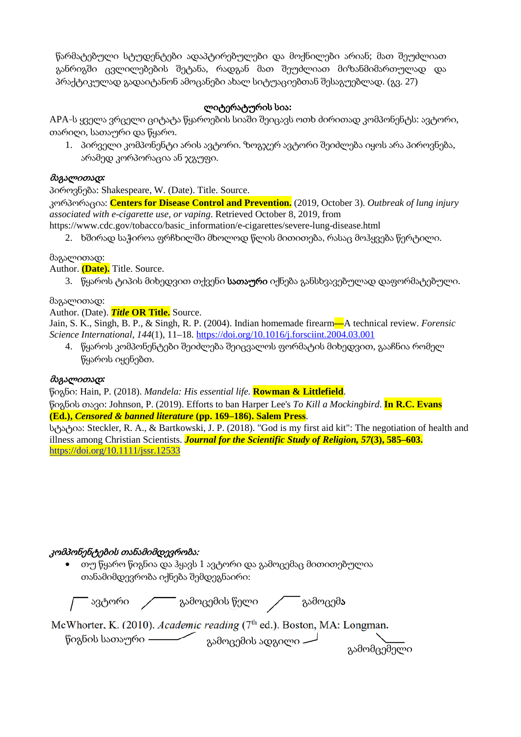წარმატებული სტუდენტები ადაპტირებულები და მოქნილები არიან; მათ შეუძლიათ განრიგში ცვლილებების შეტანა, რადგან მათ შეუძლიათ მიზანმიმართულად და პრაქტიკულად გადაიტანონ ამოცანები ახალ სიტუაციებთან შესაგუებლად. (გვ. 27)

## ლიტერატურის სია**:**

APA-ს ყველა ვრცელი ციტატა წყაროების სიაში შეიცავს ოთხ ძირითად კომპონენტს: ავტორი, თარიღი, სათაური და წყარო.

1. პირველი კომპონენტი არის ავტორი. ზოგჯერ ავტორი შეიძლება იყოს არა პიროვნება, არამედ კორპორაცია ან ჯგუფი.

#### მაგალითად*:*

პიროვნება: Shakespeare, W. (Date). Title. Source.

კორპორაცია: **Centers for Disease Control and Prevention.** (2019, October 3). *Outbreak of lung injury associated with e-cigarette use, or vaping*. Retrieved October 8, 2019, from

https://www.cdc.gov/tobacco/basic\_information/e-cigarettes/severe-lung-disease.html

2. ხშირად საჭიროა ფრჩხილში მხოლოდ წლის მითითება, რასაც მოჰყვება წერტილი.

#### მაგალითად:

Author. **(Date).** Title. Source.

3. წყაროს ტიპის მიხედვით თქვენი სათაური იქნება განსხვავებულად დაფორმატებული.

#### მაგალითად:

Author. (Date). *Title* **OR Title.** Source.

Jain, S. K., Singh, B. P., & Singh, R. P. (2004). Indian homemade firearm**—**A technical review. *Forensic Science International*, *144*(1), 11–18.<https://doi.org/10.1016/j.forsciint.2004.03.001>

4. წყაროს კომპონენტები შეიძლება შეიცვალოს ფორმატის მიხედვით, გააჩნია რომელ წყაროს იყენებთ.

### მაგალითად*:*

წიგნი: Hain, P. (2018). *Mandela: His essential life.* **Rowman & Littlefield**.

წიგნის თავი: Johnson, P. (2019). Efforts to ban Harper Lee's *To Kill a Mockingbird*. **In R.C. Evans (Ed.),** *Censored & banned literature* **(pp. 169–186). Salem Press**.

სტატია: Steckler, R. A., & Bartkowski, J. P. (2018). "God is my first aid kit": The negotiation of health and illness among Christian Scientists. *Journal for the Scientific Study of Religion, 57***(3), 585–603.**  <https://doi.org/10.1111/jssr.12533>

### კომპონენტების თანამიმდევრობა:

• თუ წყარო წიგნია და ჰყავს 1 ავტორი და გამოცემაც მითითებულია თანამიმდევრობა იქნება შემდეგნაირი:

ავტორი გამოცემის წელი გამოცემა McWhorter, K. (2010). Academic reading (7<sup>th</sup> ed.). Boston, MA: Longman. წიგნის სათაური გამომცემელი გამოცემის ადგილი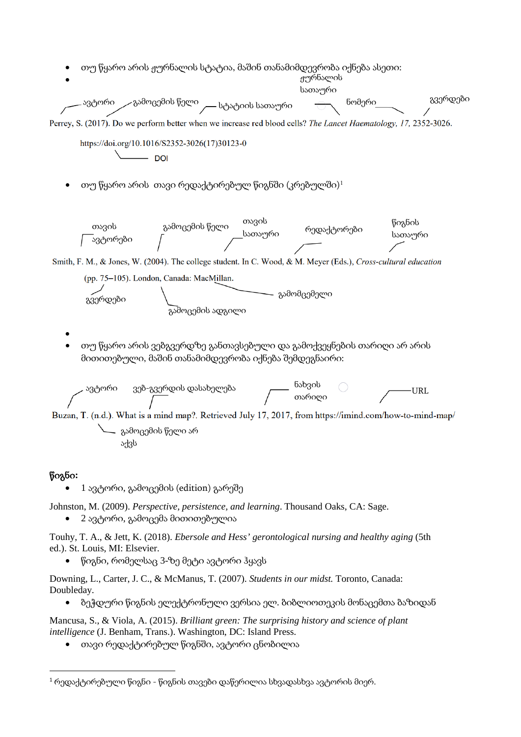

#### წიგნი**:**

 $\bullet$  1 ავტორი, გამოცემის (edition) გარეშე

Johnston, M. (2009). *Perspective, persistence, and learning*. Thousand Oaks, CA: Sage.

• 2 ავტორი, გამოცემა მითითებულია

Touhy, T. A., & Jett, K. (2018). *Ebersole and Hess' gerontological nursing and healthy aging* (5th ed.). St. Louis, MI: Elsevier.

• წიგნი, რომელსაც 3-ზე მეტი ავტორი ჰყავს

Downing, L., Carter, J. C., & McManus, T. (2007). *Students in our midst.* Toronto, Canada: Doubleday.

• ბეჭდური წიგნის ელექტრონული ვერსია ელ. ბიბლიოთეკის მონაცემთა ბაზიდან

Mancusa, S., & Viola, A. (2015). *Brilliant green: The surprising history and science of plant intelligence* (J. Benham, Trans.). Washington, DC: Island Press.

• თავი რედაქტირებულ წიგნში, ავტორი ცნობილია

<span id="page-2-0"></span> $1$  რედაქტირებული წიგნი - წიგნის თავები დაწერილია სხვადასხვა ავტორის მიერ.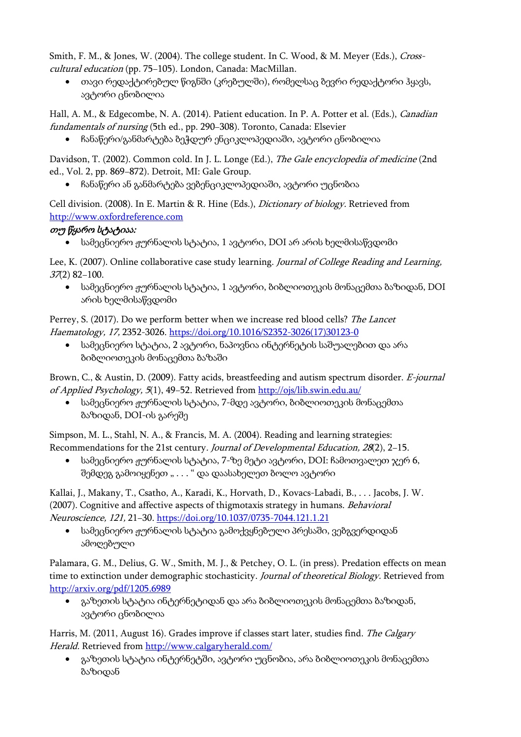Smith, F. M., & Jones, W. (2004). The college student. In C. Wood, & M. Meyer (Eds.), *Cross*cultural education (pp. 75−105). London, Canada: MacMillan.

• თავი რედაქტირებულ წიგნში (კრებულში), რომელსაც ბევრი რედაქტორი ჰყავს, ავტორი ცნობილია

Hall, A. M., & Edgecombe, N. A. (2014). Patient education. In P. A. Potter et al. (Eds.), Canadian fundamentals of nursing (5th ed., pp. 290−308). Toronto, Canada: Elsevier

• ჩანაწერი/განმარტება ბეჭდურ ენციკლოპედიაში, ავტორი ცნობილია

Davidson, T. (2002). Common cold. In J. L. Longe (Ed.), *The Gale encyclopedia of medicine* (2nd ed., Vol. 2, pp. 869−872). Detroit, MI: Gale Group.

• ჩანაწერი ან განმარტება ვებენციკლოპედიაში, ავტორი უცნობია

Cell division. (2008). In E. Martin & R. Hine (Eds.), Dictionary of biology. Retrieved from [http://www.oxfordreference.com](http://www.oxfordreference.com/)

## თუ წყარო სტატიაა:

• სამეცნიერო ჟურნალის სტატია, 1 ავტორი, DOI არ არის ხელმისაწვდომი

Lee, K. (2007). Online collaborative case study learning. Journal of College Reading and Learning, 37(2) 82−100.

 $\bullet$  სამეცნიერო ჟურნალის სტატია, 1 ავტორი, ბიბლიოთეკის მონაცემთა ბაზიდან, DOI არის ხელმისაწვდომი

Perrey, S. (2017). Do we perform better when we increase red blood cells? The Lancet Haematology, 17, 2352-3026. [https://doi.org/10.1016/S2352](https://doi.org/10.1016/S2352-3026(17)30123-0)-3026(17)30123-0

• სამეცნიერო სტატია, 2 ავტორი, ნაპოვნია ინტერნეტის საშუალებით და არა ბიბლიოთეკის მონაცემთა ბაზაში

Brown, C., & Austin, D. (2009). Fatty acids, breastfeeding and autism spectrum disorder. E-journal of Applied Psychology, 5(1), 49−52. Retrieved from <http://ojs/lib.swin.edu.au/>

• სამეცნიერო ჟურნალის სტატია, 7-მდე ავტორი, ბიბლიოთეკის მონაცემთა ბაზიდან, DOI-ის გარეშე

Simpson, M. L., Stahl, N. A., & Francis, M. A. (2004). Reading and learning strategies: Recommendations for the 21st century. Journal of Developmental Education, 28(2), 2−15.

• სამეცნიერო ჟურნალის სტატია, 7-ზე მეტი ავტორი, DOI: ჩამოთვალეთ ჯერ 6, შემდეგ გამოიყენეთ " . . . " და დაასახელეთ ბოლო ავტორი

Kallai, J., Makany, T., Csatho, A., Karadi, K., Horvath, D., Kovacs-Labadi, B., . . . Jacobs, J. W. (2007). Cognitive and affective aspects of thigmotaxis strategy in humans. Behavioral Neuroscience, 121, 21−30. <https://doi.org/10.1037/0735-7044.121.1.21>

• სამეცნიერო ჟურნალის სტატია გამოქვყნებული პრესაში, ვებგვერდიდან ამოღებული

Palamara, G. M., Delius, G. W., Smith, M. J., & Petchey, O. L. (in press). Predation effects on mean time to extinction under demographic stochasticity. Journal of theoretical Biology. Retrieved from <http://arxiv.org/pdf/1205.6989>

 $\bullet$  გაზეთის სტატია ინტერნეტიდან და არა ბიბლიოთეკის მონაცემთა ბაზიდან, ავტორი ცნობილია

Harris, M. (2011, August 16). Grades improve if classes start later, studies find. The Calgary Herald. Retrieved from <http://www.calgaryherald.com/>

• გაზეთის სტატია ინტერნეტში, ავტორი უცნობია, არა ბიბლიოთეკის მონაცემთა ბაზიდან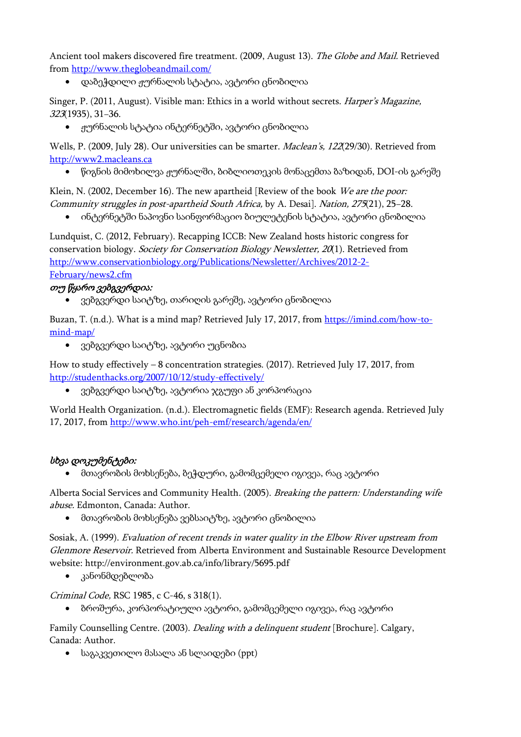Ancient tool makers discovered fire treatment. (2009, August 13). The Globe and Mail. Retrieved from <http://www.theglobeandmail.com/>

• დაბეჭდილი ჟურნალის სტატია, ავტორი ცნობილია

Singer, P. (2011, August). Visible man: Ethics in a world without secrets. Harper's Magazine, 323(1935), 31−36.

• ჟურნალის სტატია ინტერნეტში, ავტორი ცნობილია

Wells, P. (2009, July 28). Our universities can be smarter. Maclean's, 122(29/30). Retrieved from [http://www2.macleans.ca](http://www2.macleans.ca/)

• წიგნის მიმოხილვა ჟურნალში, ბიბლიოთეკის მონაცემთა ბაზიდან, DOI-ის გარეშე

Klein, N. (2002, December 16). The new apartheid [Review of the book We are the poor: Community struggles in post-apartheid South Africa, by A. Desai]. Nation, 275(21), 25−28.

 $\bullet$  ინტერნეტში ნაპოვნი საინფორმაციო ბიულეტენის სტატია, ავტორი ცნობილია

Lundquist, C. (2012, February). Recapping ICCB: New Zealand hosts historic congress for conservation biology. Society for Conservation Biology Newsletter, 20(1). Retrieved from [http://www.conservationbiology.org/Publications/Newsletter/Archives/2012](http://www.conservationbiology.org/Publications/Newsletter/Archives/2012-2-February/news2.cfm)-2- [February/news2.cfm](http://www.conservationbiology.org/Publications/Newsletter/Archives/2012-2-February/news2.cfm)

## თუ წყარო ვებგვერდია:

• ვებგვერდი საიტზე, თარიღის გარეშე, ავტორი ცნობილია

Buzan, T. (n.d.). What is a mind map? Retrieved July 17, 2017, from [https://imind.com/how-to](https://imind.com/how-to-mind-map/)[mind-map/](https://imind.com/how-to-mind-map/)

• ვებგვერდი საიტზე, ავტორი უცნობია

How to study effectively – 8 concentration strategies. (2017). Retrieved July 17, 2017, from [http://studenthacks.org/2007/10/12/study-](http://studenthacks.org/2007/10/12/study-effectively/)effectively/

• ვებგვერდი საიტზე, ავტორია ჯგუფი ან კორპორაცია

World Health Organization. (n.d.). Electromagnetic fields (EMF): Research agenda. Retrieved July 17, 2017, from<http://www.who.int/peh-emf/research/agenda/en/>

### სხვა დოკუმენტები:

• მთავრობის მოხსენება, ბეჭდური, გამომცემელი იგივეა, რაც ავტორი

Alberta Social Services and Community Health. (2005). Breaking the pattern: Understanding wife abuse. Edmonton, Canada: Author.

• მთავრობის მოხსენება ვებსაიტზე, ავტორი ცნობილია

Sosiak, A. (1999). Evaluation of recent trends in water quality in the Elbow River upstream from Glenmore Reservoir. Retrieved from Alberta Environment and Sustainable Resource Development website: http://environment.gov.ab.ca/info/library/5695.pdf

• კანონმდებლობა

Criminal Code, RSC 1985, c C-46, s 318(1).

• ბროშურა, კორპორატიული ავტორი, გამომცემელი იგივეა, რაც ავტორი

Family Counselling Centre. (2003). *Dealing with a delinquent student* [Brochure]. Calgary, Canada: Author.

 $\bullet$  საგაკვეთილო მასალა ან სლაიდები (ppt)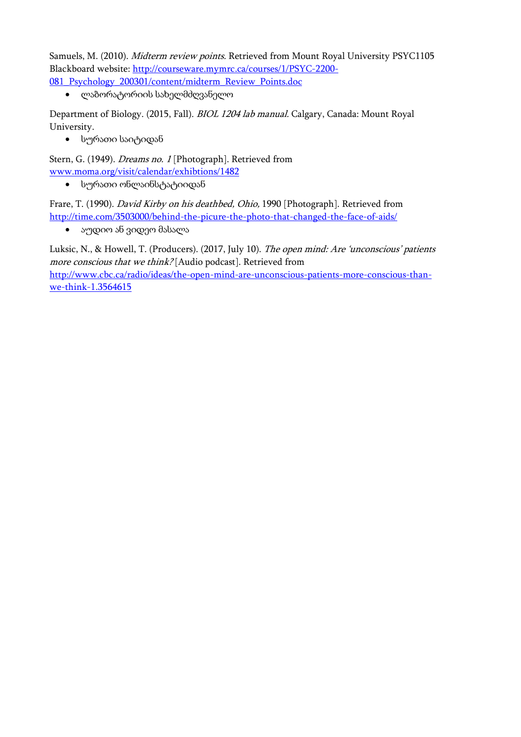Samuels, M. (2010). Midterm review points. Retrieved from Mount Royal University PSYC1105 Blackboard website: [http://courseware.mymrc.ca/courses/1](http://courseware.mymrc.ca/courses/1/PSYC-2200-081_Psychology_200301/content/midterm_Review_Points.doc)/PSYC-2200- [081\\_Psychology\\_200301/content/midterm\\_Review\\_Points.doc](http://courseware.mymrc.ca/courses/1/PSYC-2200-081_Psychology_200301/content/midterm_Review_Points.doc)

• ლაბორატორიის სახელმძღვანელო

Department of Biology. (2015, Fall). BIOL 1204 lab manual. Calgary, Canada: Mount Royal University.

• სურათი საიტიდან

Stern, G. (1949). *Dreams no. 1* [Photograph]. Retrieved from [www.moma.org/visit/calendar/exhibtions/1482](http://www.moma.org/visit/calendar/exhibtions/1482)

• სურათი ონლაინსტატიიდან

Frare, T. (1990). David Kirby on his deathbed, Ohio, 1990 [Photograph]. Retrieved from <http://time.com/3503000/behind-the-picure-the-photo-that-changed-the-face-of-aids/>

• აუდიო ან ვიდეო მასალა

Luksic, N., & Howell, T. (Producers). (2017, July 10). The open mind: Are 'unconscious' patients more conscious that we think? [Audio podcast]. Retrieved from [http://www.cbc.ca/radio/ideas/the-open-mind-are-unconscious-patients-more-conscious-than](http://www.cbc.ca/radio/ideas/the-open-mind-are-unconscious-patients-more-conscious-than-we-think-1.3564615)[we-think-](http://www.cbc.ca/radio/ideas/the-open-mind-are-unconscious-patients-more-conscious-than-we-think-1.3564615)1.3564615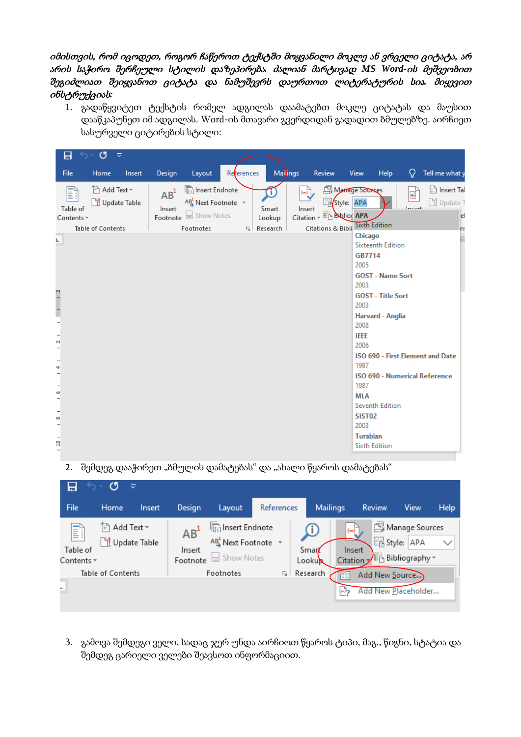# იმისთვის, რომ იცოდეთ, როგორ ჩაწეროთ ტექსტში მოყვანილი მოკლე ან ვრცელი ციტატა, არ არის საჭირო შერჩეული სტილის დაზეპირება*.* ძალიან მარტივად *MS Word-*ის მეშვეობით შეგიძლიათ შეიყვანოთ ციტატა და ნამუშევრს დაურთოთ ლიტერატურის სია*.* მიყევით ინსტრუქციას*:*

1. გადაწყვიტეთ ტექსტის რომელ ადგილას დაამატებთ მოკლე ციტატას და მაუსით დააწკაპუნეთ იმ ადგილას. Word-ის მთავარი გვერდიდან გადადით ბმულებზე. აირჩიეთ სასურველი ციტირების სტილი:

| ය<br>8<br>≂<br>ᠳ᠂                                                                                  |                                                                                                                        |                                   |                                                   |                                                                                             |                                                                        |
|----------------------------------------------------------------------------------------------------|------------------------------------------------------------------------------------------------------------------------|-----------------------------------|---------------------------------------------------|---------------------------------------------------------------------------------------------|------------------------------------------------------------------------|
| File<br>Home<br>Insert                                                                             | Design<br>Layout                                                                                                       | References                        | Mailings<br>Review                                | View<br>Help                                                                                | ₽<br>Tell me what y                                                    |
| in Add Text ▼<br>E<br>□ <mark>!</mark> Update Table<br>Table of<br>Contents *<br>Table of Contents | <sup>[</sup> [i] Insert Endnote<br>$AB^1$<br>AB Next Footnote v<br>Insert<br>Footnote <b>E</b> Show Notes<br>Footnotes | Smart<br>Lookup<br>Research<br>园上 | ্রেন<br>Insert<br>Citation ~<br>Citations & Bibli | Manage Sources<br>图 Style: APA<br><b>Big Biblion APA</b><br><b>Sixth Edition</b><br>Chicago | linsert Tal<br>$\frac{a}{1-a}$<br>□! Update T<br>$l$ menet<br>e<br>'n: |
| Ч                                                                                                  |                                                                                                                        |                                   |                                                   | Sixteenth Edition<br><b>GB7714</b><br>2005<br><b>GOST - Name Sort</b><br>2003               |                                                                        |
| $\frac{1}{2}$                                                                                      |                                                                                                                        |                                   |                                                   | <b>GOST</b> - Title Sort<br>2003                                                            |                                                                        |
| $\overline{\phantom{a}}$                                                                           |                                                                                                                        |                                   |                                                   | Harvard - Anglia<br>2008                                                                    |                                                                        |
| $\sim$                                                                                             |                                                                                                                        |                                   |                                                   | <b>IEEE</b><br>2006                                                                         |                                                                        |
| 4                                                                                                  |                                                                                                                        |                                   |                                                   | 1987                                                                                        | ISO 690 - First Element and Date                                       |
| $\overline{\phantom{a}}$                                                                           |                                                                                                                        |                                   |                                                   | 1987                                                                                        | <b>ISO 690 - Numerical Reference</b>                                   |
| G<br>$\overline{\phantom{a}}$                                                                      |                                                                                                                        |                                   |                                                   | <b>MLA</b><br>Seventh Edition                                                               |                                                                        |
| 60<br>$\overline{\phantom{0}}$                                                                     |                                                                                                                        |                                   |                                                   | <b>SIST02</b><br>2003                                                                       |                                                                        |
| $\Xi$                                                                                              |                                                                                                                        |                                   |                                                   | <b>Turabian</b><br><b>Sixth Edition</b>                                                     |                                                                        |

2. შემდეგ დააჭირეთ "ბმულის დამატებას" და "ახალი წყაროს დამატებას"



3. გამოვა შემდეგი ველი, სადაც ჯერ უნდა აირჩიოთ წყაროს ტიპი, მაგ., წიგნი, სტატია და შემდეგ ცარიელი ველები შეავსოთ ინფორმაციით.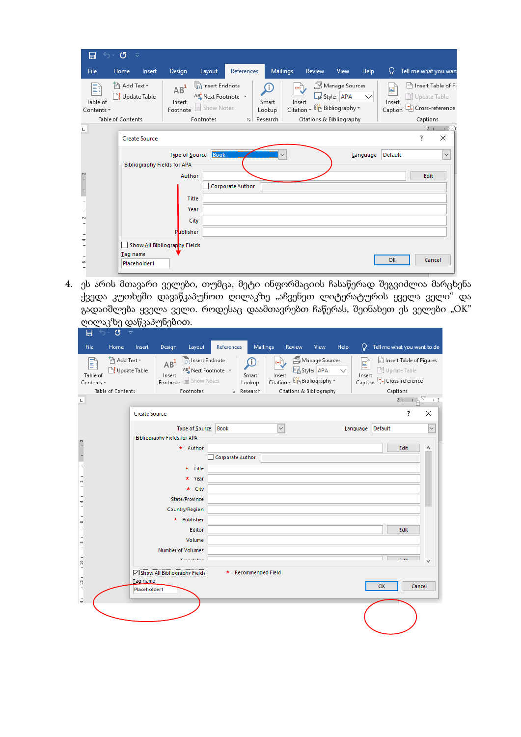| 日<br>$\overline{a}$         | $\sigma$<br>$\overline{\mathbf{v}}$             |        |                                                      |                                                                                                       |                         |                                            |                                    |                                                                          |                |              |                                    |    |                                                                        |
|-----------------------------|-------------------------------------------------|--------|------------------------------------------------------|-------------------------------------------------------------------------------------------------------|-------------------------|--------------------------------------------|------------------------------------|--------------------------------------------------------------------------|----------------|--------------|------------------------------------|----|------------------------------------------------------------------------|
| File                        | Home                                            | Insert | Design                                               | Layout                                                                                                | References              | Mailings                                   |                                    | Review                                                                   | View           | <b>Help</b>  | Ω                                  |    | Tell me what you want                                                  |
| H<br>Table of<br>Contents * | Add Text *<br>Update Table<br>Table of Contents |        | $AB^1$<br>Insert<br>Footnote                         | $\sqrt[n]{\left[\binom{n}{1}\right]}$ Insert Endnote<br>AB Next Footnote v<br>Show Notes<br>Footnotes |                         | l.<br>Smart<br>Lookup<br><b>G</b> Research | $\overline{\mathcal{L}}$<br>Insert | 国 Style: APA<br>Citation - En Bibliography -<br>Citations & Bibliography | Manage Sources | $\checkmark$ | $\frac{a}{1}$<br>Insert<br>Caption |    | Insert Table of Fire<br>JJ Update Table<br>Cross-reference<br>Captions |
|                             |                                                 |        |                                                      |                                                                                                       |                         |                                            |                                    |                                                                          |                |              |                                    |    | $1\wedge Y$                                                            |
| $\blacksquare$              | <b>Create Source</b>                            |        |                                                      |                                                                                                       |                         |                                            |                                    |                                                                          |                |              |                                    | S. | X                                                                      |
|                             |                                                 |        | Type of Source<br><b>Bibliography Fields for APA</b> | Book                                                                                                  |                         |                                            |                                    |                                                                          |                | Language     | Default                            |    | $\checkmark$                                                           |
| $\overline{1}$              |                                                 |        | Author                                               |                                                                                                       |                         |                                            |                                    |                                                                          |                |              |                                    |    | Edit                                                                   |
|                             |                                                 |        |                                                      |                                                                                                       | <b>Corporate Author</b> |                                            |                                    |                                                                          |                |              |                                    |    |                                                                        |
|                             |                                                 |        | Title                                                |                                                                                                       |                         |                                            |                                    |                                                                          |                |              |                                    |    |                                                                        |
|                             |                                                 |        | Year                                                 |                                                                                                       |                         |                                            |                                    |                                                                          |                |              |                                    |    |                                                                        |
| $\sim$                      |                                                 |        | City                                                 |                                                                                                       |                         |                                            |                                    |                                                                          |                |              |                                    |    |                                                                        |
|                             |                                                 |        | Publisher                                            |                                                                                                       |                         |                                            |                                    |                                                                          |                |              |                                    |    |                                                                        |
| $\overline{\phantom{a}}$    |                                                 |        | Show All Bibliography Fields                         |                                                                                                       |                         |                                            |                                    |                                                                          |                |              |                                    |    |                                                                        |
| w                           | Tag name                                        |        |                                                      |                                                                                                       |                         |                                            |                                    |                                                                          |                |              | OK                                 |    | Cancel                                                                 |
|                             | Placeholder1                                    |        |                                                      |                                                                                                       |                         |                                            |                                    |                                                                          |                |              |                                    |    |                                                                        |

4. ეს არის მთავარი ველები, თუმცა, მეტი ინფორმაციის ჩასაწერად შეგვიძლია მარცხენა ქვედა კუთხეში დავაწკაპუნოთ ღილაკზე "აჩვენეთ ლიტერატურის ყველა ველი" და გადაიშლება ყველა ველი. როდესაც დაამთავრებთ ჩაწერას, შეინახეთ ეს ველები "OK" ღილაკზე დაწკაპუნებით.

| 日                                                         | O<br>्च                                                   |                                 |                              |                                                                            |                         |                                            |                                          |               |                                                                                            |      |                        |         |                                                                        |                             |
|-----------------------------------------------------------|-----------------------------------------------------------|---------------------------------|------------------------------|----------------------------------------------------------------------------|-------------------------|--------------------------------------------|------------------------------------------|---------------|--------------------------------------------------------------------------------------------|------|------------------------|---------|------------------------------------------------------------------------|-----------------------------|
| File                                                      | Home                                                      | Insert                          | Design                       | Layout                                                                     | References              |                                            | Mailings                                 | <b>Review</b> | View                                                                                       | Help | Ω                      |         |                                                                        | Tell me what you want to do |
| h<br>Table of<br>Contents -<br>$\mathbb{L}$               | Add Text ~<br><b>] U</b> pdate Table<br>Table of Contents |                                 | $AB^1$<br>Insert<br>Footnote | <b>The Insert Endnote</b><br>AB Next Footnote v<br>Show Notes<br>Footnotes |                         | Œ.<br>Smart<br>Lookup<br><b>G</b> Research | $\overline{(-)}$<br>Insert<br>Citation ~ |               | <b>A</b> Manage Sources<br>国 Style: APA<br><b>Bibliography</b><br>Citations & Bibliography |      | ₫<br>Insert<br>Caption |         | Insert Table of Figures<br>Update Table<br>Cross-reference<br>Captions | $2 + 12$                    |
|                                                           |                                                           | <b>Create Source</b>            |                              |                                                                            |                         |                                            |                                          |               |                                                                                            |      |                        |         | ?                                                                      | $\times$                    |
|                                                           |                                                           |                                 | Bibliography Fields for APA  | Type of Source                                                             | Book                    |                                            | $\checkmark$                             |               |                                                                                            |      | Language               | Default |                                                                        | $\checkmark$                |
|                                                           |                                                           |                                 |                              | $\star$ Author                                                             | <b>Corporate Author</b> |                                            |                                          |               |                                                                                            |      |                        |         | Edit                                                                   | ۸                           |
| $\overline{\phantom{a}}$                                  |                                                           |                                 |                              | $\star$ Title                                                              |                         |                                            |                                          |               |                                                                                            |      |                        |         |                                                                        |                             |
| $\sim$                                                    |                                                           |                                 |                              | $\star$ Year<br>$\star$ City                                               |                         |                                            |                                          |               |                                                                                            |      |                        |         |                                                                        |                             |
| 4                                                         |                                                           |                                 |                              | State/Province                                                             |                         |                                            |                                          |               |                                                                                            |      |                        |         |                                                                        |                             |
| w                                                         |                                                           |                                 |                              | Country/Region<br>* Publisher                                              |                         |                                            |                                          |               |                                                                                            |      |                        |         |                                                                        |                             |
|                                                           |                                                           |                                 |                              | Editor                                                                     |                         |                                            |                                          |               |                                                                                            |      |                        |         | Edit                                                                   |                             |
| 8                                                         |                                                           |                                 |                              | Volume<br><b>Number of Volumes</b>                                         |                         |                                            |                                          |               |                                                                                            |      |                        |         |                                                                        |                             |
| 읔                                                         |                                                           |                                 |                              | <b>The contract</b>                                                        |                         |                                            |                                          |               |                                                                                            |      |                        |         | <b>Contract</b>                                                        | $\checkmark$                |
| $\overline{\phantom{a}}$<br>더<br>$\overline{\phantom{a}}$ |                                                           | <b>Tag name</b><br>Placeholder1 | Show All Bibliography Fields |                                                                            |                         | * Recommended Field                        |                                          |               |                                                                                            |      |                        | OK      |                                                                        | Cancel                      |
| $\frac{1}{4}$                                             |                                                           |                                 |                              |                                                                            |                         |                                            |                                          |               |                                                                                            |      |                        |         |                                                                        |                             |